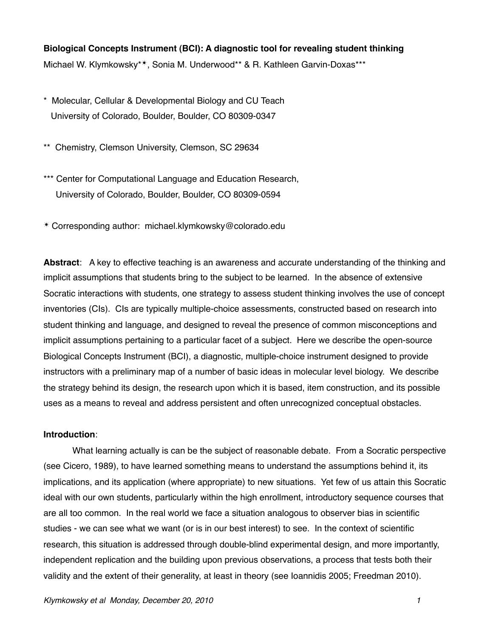**Biological Concepts Instrument (BCI): A diagnostic tool for revealing student thinking**  Michael W. Klymkowsky\*☀, Sonia M. Underwood\*\* & R. Kathleen Garvin-Doxas\*\*\*

- \* Molecular, Cellular & Developmental Biology and CU Teach University of Colorado, Boulder, Boulder, CO 80309-0347
- \*\* Chemistry, Clemson University, Clemson, SC 29634
- \*\*\* Center for Computational Language and Education Research, University of Colorado, Boulder, Boulder, CO 80309-0594
- ☀ Corresponding author: michael.klymkowsky@colorado.edu

**Abstract**: A key to effective teaching is an awareness and accurate understanding of the thinking and implicit assumptions that students bring to the subject to be learned. In the absence of extensive Socratic interactions with students, one strategy to assess student thinking involves the use of concept inventories (CIs). CIs are typically multiple-choice assessments, constructed based on research into student thinking and language, and designed to reveal the presence of common misconceptions and implicit assumptions pertaining to a particular facet of a subject. Here we describe the open-source Biological Concepts Instrument (BCI), a diagnostic, multiple-choice instrument designed to provide instructors with a preliminary map of a number of basic ideas in molecular level biology. We describe the strategy behind its design, the research upon which it is based, item construction, and its possible uses as a means to reveal and address persistent and often unrecognized conceptual obstacles.

#### **Introduction**:

What learning actually is can be the subject of reasonable debate. From a Socratic perspective (see Cicero, 1989), to have learned something means to understand the assumptions behind it, its implications, and its application (where appropriate) to new situations. Yet few of us attain this Socratic ideal with our own students, particularly within the high enrollment, introductory sequence courses that are all too common. In the real world we face a situation analogous to observer bias in scientific studies - we can see what we want (or is in our best interest) to see. In the context of scientific research, this situation is addressed through double-blind experimental design, and more importantly, independent replication and the building upon previous observations, a process that tests both their validity and the extent of their generality, at least in theory (see Ioannidis 2005; Freedman 2010).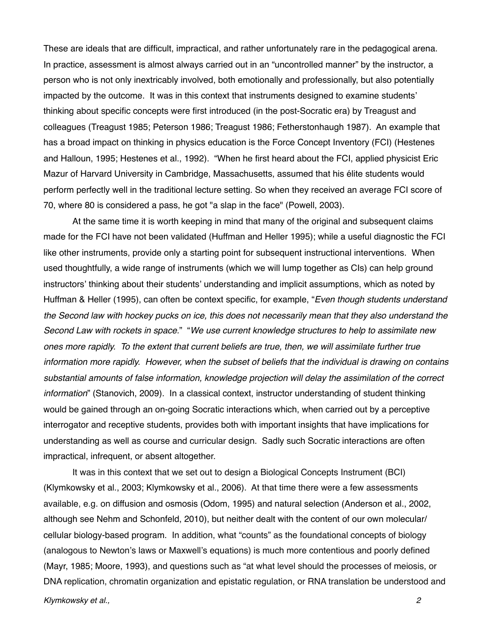These are ideals that are difficult, impractical, and rather unfortunately rare in the pedagogical arena. In practice, assessment is almost always carried out in an "uncontrolled manner" by the instructor, a person who is not only inextricably involved, both emotionally and professionally, but also potentially impacted by the outcome. It was in this context that instruments designed to examine students' thinking about specific concepts were first introduced (in the post-Socratic era) by Treagust and colleagues (Treagust 1985; Peterson 1986; Treagust 1986; Fetherstonhaugh 1987). An example that has a broad impact on thinking in physics education is the Force Concept Inventory (FCI) (Hestenes and Halloun, 1995; Hestenes et al., 1992). "When he first heard about the FCI, applied physicist Eric Mazur of Harvard University in Cambridge, Massachusetts, assumed that his élite students would perform perfectly well in the traditional lecture setting. So when they received an average FCI score of 70, where 80 is considered a pass, he got "a slap in the face" (Powell, 2003).

At the same time it is worth keeping in mind that many of the original and subsequent claims made for the FCI have not been validated (Huffman and Heller 1995); while a useful diagnostic the FCI like other instruments, provide only a starting point for subsequent instructional interventions. When used thoughtfully, a wide range of instruments (which we will lump together as CIs) can help ground instructors' thinking about their students' understanding and implicit assumptions, which as noted by Huffman & Heller (1995), can often be context specific, for example, "*Even though students understand the Second law with hockey pucks on ice, this does not necessarily mean that they also understand the Second Law with rockets in space.*" "*We use current knowledge structures to help to assimilate new ones more rapidly. To the extent that current beliefs are true, then, we will assimilate further true information more rapidly. However, when the subset of beliefs that the individual is drawing on contains substantial amounts of false information, knowledge projection will delay the assimilation of the correct information*" (Stanovich, 2009). In a classical context, instructor understanding of student thinking would be gained through an on-going Socratic interactions which, when carried out by a perceptive interrogator and receptive students, provides both with important insights that have implications for understanding as well as course and curricular design. Sadly such Socratic interactions are often impractical, infrequent, or absent altogether.

It was in this context that we set out to design a Biological Concepts Instrument (BCI) (Klymkowsky et al., 2003; Klymkowsky et al., 2006). At that time there were a few assessments available, e.g. on diffusion and osmosis (Odom, 1995) and natural selection (Anderson et al., 2002, although see Nehm and Schonfeld, 2010), but neither dealt with the content of our own molecular/ cellular biology-based program. In addition, what "counts" as the foundational concepts of biology (analogous to Newton's laws or Maxwell's equations) is much more contentious and poorly defined (Mayr, 1985; Moore, 1993), and questions such as "at what level should the processes of meiosis, or DNA replication, chromatin organization and epistatic regulation, or RNA translation be understood and

*Klymkowsky et al., 2*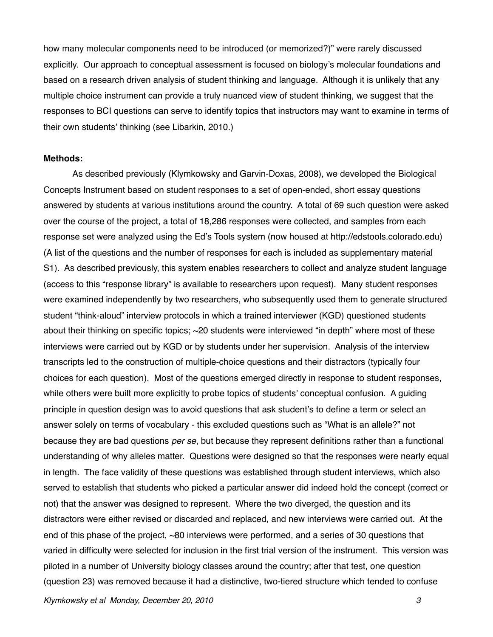how many molecular components need to be introduced (or memorized?)" were rarely discussed explicitly. Our approach to conceptual assessment is focused on biology's molecular foundations and based on a research driven analysis of student thinking and language. Although it is unlikely that any multiple choice instrument can provide a truly nuanced view of student thinking, we suggest that the responses to BCI questions can serve to identify topics that instructors may want to examine in terms of their own students' thinking (see Libarkin, 2010.)

#### **Methods:**

As described previously (Klymkowsky and Garvin-Doxas, 2008), we developed the Biological Concepts Instrument based on student responses to a set of open-ended, short essay questions answered by students at various institutions around the country. A total of 69 such question were asked over the course of the project, a total of 18,286 responses were collected, and samples from each response set were analyzed using the Ed's Tools system (now housed at http://edstools.colorado.edu) (A list of the questions and the number of responses for each is included as supplementary material S1). As described previously, this system enables researchers to collect and analyze student language (access to this "response library" is available to researchers upon request). Many student responses were examined independently by two researchers, who subsequently used them to generate structured student "think-aloud" interview protocols in which a trained interviewer (KGD) questioned students about their thinking on specific topics; ~20 students were interviewed "in depth" where most of these interviews were carried out by KGD or by students under her supervision. Analysis of the interview transcripts led to the construction of multiple-choice questions and their distractors (typically four choices for each question). Most of the questions emerged directly in response to student responses, while others were built more explicitly to probe topics of students' conceptual confusion. A guiding principle in question design was to avoid questions that ask student's to define a term or select an answer solely on terms of vocabulary - this excluded questions such as "What is an allele?" not because they are bad questions *per se*, but because they represent definitions rather than a functional understanding of why alleles matter. Questions were designed so that the responses were nearly equal in length. The face validity of these questions was established through student interviews, which also served to establish that students who picked a particular answer did indeed hold the concept (correct or not) that the answer was designed to represent. Where the two diverged, the question and its distractors were either revised or discarded and replaced, and new interviews were carried out. At the end of this phase of the project, ~80 interviews were performed, and a series of 30 questions that varied in difficulty were selected for inclusion in the first trial version of the instrument. This version was piloted in a number of University biology classes around the country; after that test, one question (question 23) was removed because it had a distinctive, two-tiered structure which tended to confuse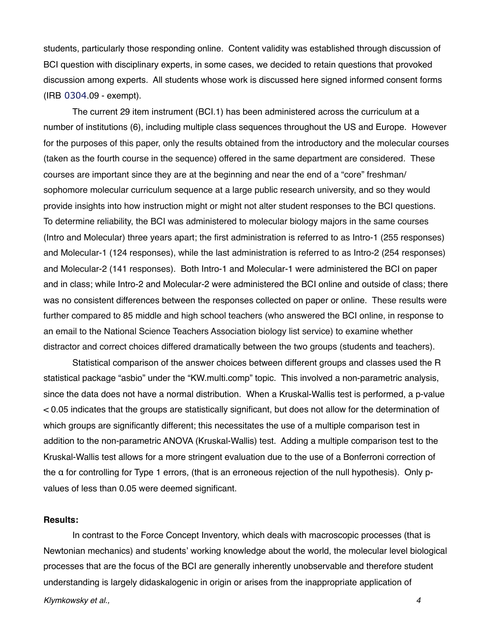students, particularly those responding online. Content validity was established through discussion of BCI question with disciplinary experts, in some cases, we decided to retain questions that provoked discussion among experts. All students whose work is discussed here signed informed consent forms (IRB 0304.09 - exempt).

The current 29 item instrument (BCI.1) has been administered across the curriculum at a number of institutions (6), including multiple class sequences throughout the US and Europe. However for the purposes of this paper, only the results obtained from the introductory and the molecular courses (taken as the fourth course in the sequence) offered in the same department are considered. These courses are important since they are at the beginning and near the end of a "core" freshman/ sophomore molecular curriculum sequence at a large public research university, and so they would provide insights into how instruction might or might not alter student responses to the BCI questions. To determine reliability, the BCI was administered to molecular biology majors in the same courses (Intro and Molecular) three years apart; the first administration is referred to as Intro-1 (255 responses) and Molecular-1 (124 responses), while the last administration is referred to as Intro-2 (254 responses) and Molecular-2 (141 responses). Both Intro-1 and Molecular-1 were administered the BCI on paper and in class; while Intro-2 and Molecular-2 were administered the BCI online and outside of class; there was no consistent differences between the responses collected on paper or online. These results were further compared to 85 middle and high school teachers (who answered the BCI online, in response to an email to the National Science Teachers Association biology list service) to examine whether distractor and correct choices differed dramatically between the two groups (students and teachers).

Statistical comparison of the answer choices between different groups and classes used the R statistical package "asbio" under the "KW.multi.comp" topic. This involved a non-parametric analysis, since the data does not have a normal distribution. When a Kruskal-Wallis test is performed, a p-value < 0.05 indicates that the groups are statistically significant, but does not allow for the determination of which groups are significantly different; this necessitates the use of a multiple comparison test in addition to the non-parametric ANOVA (Kruskal-Wallis) test. Adding a multiple comparison test to the Kruskal-Wallis test allows for a more stringent evaluation due to the use of a Bonferroni correction of the α for controlling for Type 1 errors, (that is an erroneous rejection of the null hypothesis). Only pvalues of less than 0.05 were deemed significant.

#### **Results:**

In contrast to the Force Concept Inventory, which deals with macroscopic processes (that is Newtonian mechanics) and students' working knowledge about the world, the molecular level biological processes that are the focus of the BCI are generally inherently unobservable and therefore student understanding is largely didaskalogenic in origin or arises from the inappropriate application of *Klymkowsky et al., 4*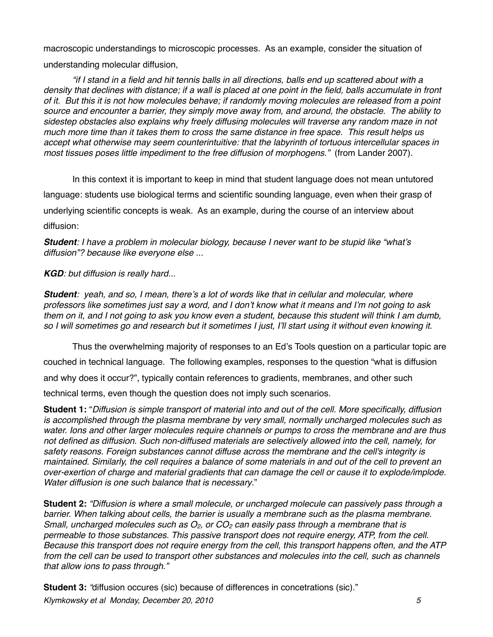macroscopic understandings to microscopic processes. As an example, consider the situation of

understanding molecular diffusion,

*"if I stand in a field and hit tennis balls in all directions, balls end up scattered about with a density that declines with distance; if a wall is placed at one point in the field, balls accumulate in front of it. But this it is not how molecules behave; if randomly moving molecules are released from a point source and encounter a barrier, they simply move away from, and around, the obstacle. The ability to sidestep obstacles also explains why freely diffusing molecules will traverse any random maze in not much more time than it takes them to cross the same distance in free space. This result helps us accept what otherwise may seem counterintuitive: that the labyrinth of tortuous intercellular spaces in most tissues poses little impediment to the free diffusion of morphogens."* (from Lander 2007).

In this context it is important to keep in mind that student language does not mean untutored language: students use biological terms and scientific sounding language, even when their grasp of underlying scientific concepts is weak. As an example, during the course of an interview about diffusion:

*Student: I have a problem in molecular biology, because I never want to be stupid like "what*'*s diffusion"? because like everyone else ...*

*KGD: but diffusion is really hard...* 

*Student: yeah, and so, I mean, there*'*s a lot of words like that in cellular and molecular, where professors like sometimes just say a word, and I don*'*t know what it means and I*'*m not going to ask them on it, and I not going to ask you know even a student, because this student will think I am dumb, so I will sometimes go and research but it sometimes I just, I*'*ll start using it without even knowing it.* 

Thus the overwhelming majority of responses to an Ed's Tools question on a particular topic are couched in technical language. The following examples, responses to the question "what is diffusion and why does it occur?", typically contain references to gradients, membranes, and other such technical terms, even though the question does not imply such scenarios.

**Student 1:** "*Diffusion is simple transport of material into and out of the cell. More specifically, diffusion is accomplished through the plasma membrane by very small, normally uncharged molecules such as water. Ions and other larger molecules require channels or pumps to cross the membrane and are thus not defined as diffusion. Such non-diffused materials are selectively allowed into the cell, namely, for safety reasons. Foreign substances cannot diffuse across the membrane and the cell's integrity is maintained. Similarly, the cell requires a balance of some materials in and out of the cell to prevent an over-exertion of charge and material gradients that can damage the cell or cause it to explode/implode. Water diffusion is one such balance that is necessary*."

**Student 2:** *"Diffusion is where a small molecule, or uncharged molecule can passively pass through a*  barrier. When talking about cells, the barrier is usually a membrane such as the plasma membrane. *Small, uncharged molecules such as*  $O_2$ *, or CO<sub>2</sub> can easily pass through a membrane that is permeable to those substances. This passive transport does not require energy, ATP, from the cell. Because this transport does not require energy from the cell, this transport happens often, and the ATP from the cell can be used to transport other substances and molecules into the cell, such as channels that allow ions to pass through."* 

**Student 3:** *"*diffusion occures (sic) because of differences in concetrations (sic)." *Klymkowsky et al Monday, December 20, 2010 5*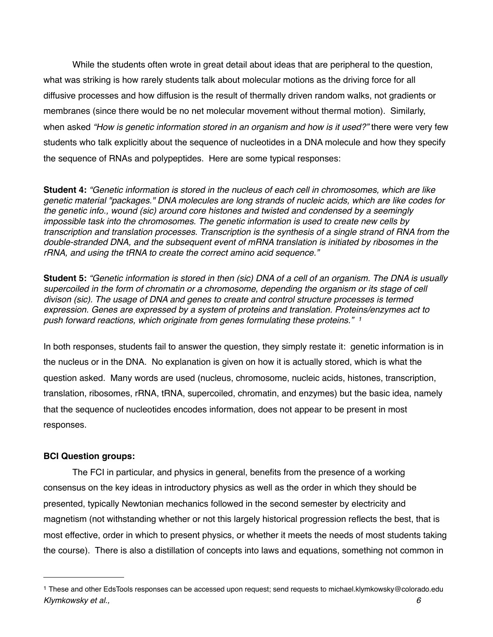While the students often wrote in great detail about ideas that are peripheral to the question, what was striking is how rarely students talk about molecular motions as the driving force for all diffusive processes and how diffusion is the result of thermally driven random walks, not gradients or membranes (since there would be no net molecular movement without thermal motion). Similarly, when asked *"How is genetic information stored in an organism and how is it used?"* there were very few students who talk explicitly about the sequence of nucleotides in a DNA molecule and how they specify the sequence of RNAs and polypeptides. Here are some typical responses:

**Student 4:** *"Genetic information is stored in the nucleus of each cell in chromosomes, which are like genetic material "packages." DNA molecules are long strands of nucleic acids, which are like codes for the genetic info., wound (sic) around core histones and twisted and condensed by a seemingly impossible task into the chromosomes. The genetic information is used to create new cells by transcription and translation processes. Transcription is the synthesis of a single strand of RNA from the double-stranded DNA, and the subsequent event of mRNA translation is initiated by ribosomes in the rRNA, and using the tRNA to create the correct amino acid sequence."* 

**Student 5:** *"Genetic information is stored in then (sic) DNA of a cell of an organism. The DNA is usually supercoiled in the form of chromatin or a chromosome, depending the organism or its stage of cell divison (sic). The usage of DNA and genes to create and control structure processes is termed expression. Genes are expressed by a system of proteins and translation. Proteins/enzymes act to push forward reactions, which originate from genes formulating these proteins." [1](#page-5-0)*

In both responses, students fail to answer the question, they simply restate it: genetic information is in the nucleus or in the DNA. No explanation is given on how it is actually stored, which is what the question asked. Many words are used (nucleus, chromosome, nucleic acids, histones, transcription, translation, ribosomes, rRNA, tRNA, supercoiled, chromatin, and enzymes) but the basic idea, namely that the sequence of nucleotides encodes information, does not appear to be present in most responses.

#### **BCI Question groups:**

The FCI in particular, and physics in general, benefits from the presence of a working consensus on the key ideas in introductory physics as well as the order in which they should be presented, typically Newtonian mechanics followed in the second semester by electricity and magnetism (not withstanding whether or not this largely historical progression reflects the best, that is most effective, order in which to present physics, or whether it meets the needs of most students taking the course). There is also a distillation of concepts into laws and equations, something not common in

<span id="page-5-0"></span>*Klymkowsky et al., 6* <sup>1</sup> These and other EdsTools responses can be accessed upon request; send requests to michael.klymkowsky@colorado.edu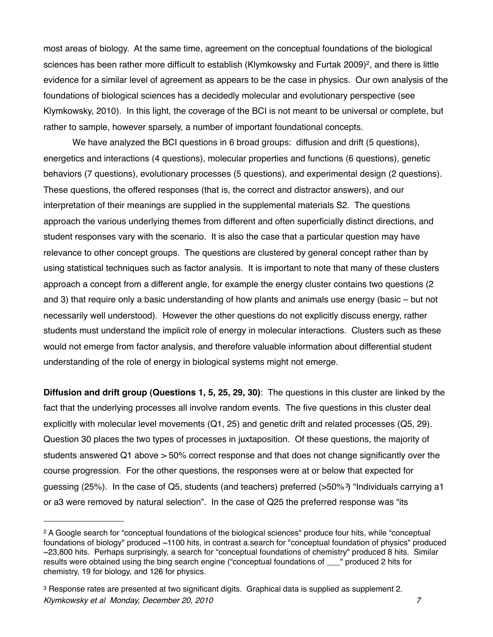most areas of biology. At the same time, agreement on the conceptual foundations of the biological sciences has been rather more difficult to establish (Klymkowsky and Furtak 2009)<sup>2</sup>, and there is little evidence for a similar level of agreement as appears to be the case in physics. Our own analysis of the foundations of biological sciences has a decidedly molecular and evolutionary perspective (see Klymkowsky, 2010). In this light, the coverage of the BCI is not meant to be universal or complete, but rather to sample, however sparsely, a number of important foundational concepts.

We have analyzed the BCI questions in 6 broad groups: diffusion and drift (5 questions), energetics and interactions (4 questions), molecular properties and functions (6 questions), genetic behaviors (7 questions), evolutionary processes (5 questions), and experimental design (2 questions). These questions, the offered responses (that is, the correct and distractor answers), and our interpretation of their meanings are supplied in the supplemental materials S2. The questions approach the various underlying themes from different and often superficially distinct directions, and student responses vary with the scenario. It is also the case that a particular question may have relevance to other concept groups. The questions are clustered by general concept rather than by using statistical techniques such as factor analysis. It is important to note that many of these clusters approach a concept from a different angle, for example the energy cluster contains two questions (2 and 3) that require only a basic understanding of how plants and animals use energy (basic – but not necessarily well understood). However the other questions do not explicitly discuss energy, rather students must understand the implicit role of energy in molecular interactions. Clusters such as these would not emerge from factor analysis, and therefore valuable information about differential student understanding of the role of energy in biological systems might not emerge.

**Diffusion and drift group (Questions 1, 5, 25, 29, 30)**:The questions in this cluster are linked by the fact that the underlying processes all involve random events. The five questions in this cluster deal explicitly with molecular level movements (Q1, 25) and genetic drift and related processes (Q5, 29). Question 30 places the two types of processes in juxtaposition. Of these questions, the majority of students answered Q1 above > 50% correct response and that does not change significantly over the course progression. For the other questions, the responses were at or below that expected for guessing (25%). In the case of Q5, students (and teachers) preferred (>50%<sup>3</sup>) "Individuals carrying a1 or a3 were removed by natural selection". In the case of Q25 the preferred response was "its

<span id="page-6-0"></span><sup>2</sup> A Google search for "conceptual foundations of the biological sciences" produce four hits, while "conceptual foundations of biology" produced ~1100 hits, in contrast a.search for "conceptual foundation of physics" produced ~23,800 hits. Perhaps surprisingly, a search for "conceptual foundations of chemistry" produced 8 hits. Similar results were obtained using the bing search engine ("conceptual foundations of \_\_\_" produced 2 hits for chemistry, 19 for biology, and 126 for physics.

<span id="page-6-1"></span>*Klymkowsky et al Monday, December 20, 2010 7* 3 Response rates are presented at two significant digits. Graphical data is supplied as supplement 2.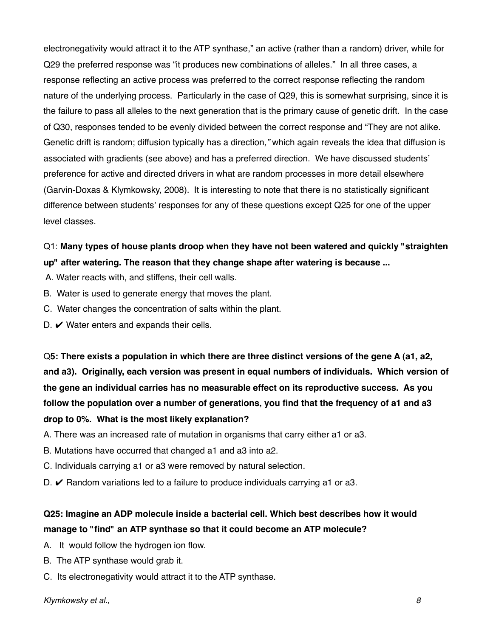electronegativity would attract it to the ATP synthase," an active (rather than a random) driver, while for Q29 the preferred response was "it produces new combinations of alleles." In all three cases, a response reflecting an active process was preferred to the correct response reflecting the random nature of the underlying process. Particularly in the case of Q29, this is somewhat surprising, since it is the failure to pass all alleles to the next generation that is the primary cause of genetic drift. In the case of Q30, responses tended to be evenly divided between the correct response and "They are not alike. Genetic drift is random; diffusion typically has a direction*,"* which again reveals the idea that diffusion is associated with gradients (see above) and has a preferred direction.We have discussed students' preference for active and directed drivers in what are random processes in more detail elsewhere (Garvin-Doxas & Klymkowsky, 2008). It is interesting to note that there is no statistically significant difference between students' responses for any of these questions except Q25 for one of the upper level classes.

# Q1: **Many types of house plants droop when they have not been watered and quickly "straighten up" after watering. The reason that they change shape after watering is because ...**

- A. Water reacts with, and stiffens, their cell walls.
- B. Water is used to generate energy that moves the plant.
- C. Water changes the concentration of salts within the plant.
- $D.$   $\vee$  Water enters and expands their cells.

Q**5: There exists a population in which there are three distinct versions of the gene A (a1, a2, and a3). Originally, each version was present in equal numbers of individuals. Which version of the gene an individual carries has no measurable effect on its reproductive success. As you follow the population over a number of generations, you find that the frequency of a1 and a3 drop to 0%. What is the most likely explanation?** 

- A. There was an increased rate of mutation in organisms that carry either a1 or a3.
- B. Mutations have occurred that changed a1 and a3 into a2.
- C. Individuals carrying a1 or a3 were removed by natural selection.
- D.  $\vee$  Random variations led to a failure to produce individuals carrying a1 or a3.

# **Q25: Imagine an ADP molecule inside a bacterial cell. Which best describes how it would manage to "find" an ATP synthase so that it could become an ATP molecule?**

- A. It would follow the hydrogen ion flow.
- B. The ATP synthase would grab it.
- C. Its electronegativity would attract it to the ATP synthase.

*Klymkowsky et al., 8*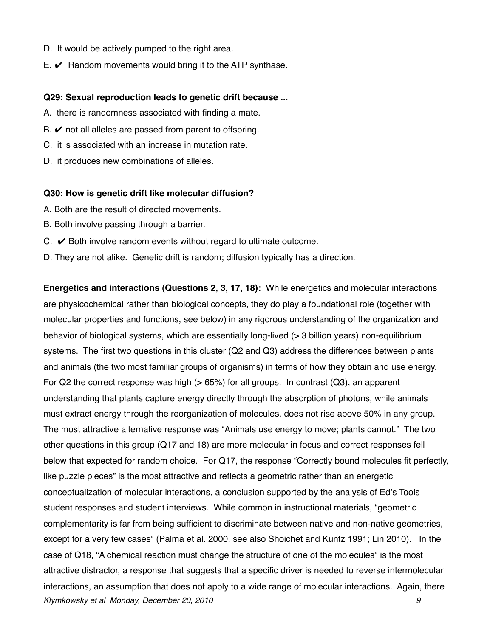- D. It would be actively pumped to the right area.
- E.  $\vee$  Random movements would bring it to the ATP synthase.

#### **Q29: Sexual reproduction leads to genetic drift because ...**

- A. there is randomness associated with finding a mate.
- B.  $\vee$  not all alleles are passed from parent to offspring.
- C. it is associated with an increase in mutation rate.
- D. it produces new combinations of alleles.

#### **Q30: How is genetic drift like molecular diffusion?**

- A. Both are the result of directed movements.
- B. Both involve passing through a barrier.
- $C.$   $\blacktriangleright$  Both involve random events without regard to ultimate outcome.
- D. They are not alike. Genetic drift is random; diffusion typically has a direction*.*

**Energetics and interactions (Questions 2, 3, 17, 18):** While energetics and molecular interactions are physicochemical rather than biological concepts, they do play a foundational role (together with molecular properties and functions, see below) in any rigorous understanding of the organization and behavior of biological systems, which are essentially long-lived (> 3 billion years) non-equilibrium systems. The first two questions in this cluster (Q2 and Q3) address the differences between plants and animals (the two most familiar groups of organisms) in terms of how they obtain and use energy. For Q2 the correct response was high  $(> 65%)$  for all groups. In contrast  $(Q3)$ , an apparent understanding that plants capture energy directly through the absorption of photons, while animals must extract energy through the reorganization of molecules, does not rise above 50% in any group. The most attractive alternative response was "Animals use energy to move; plants cannot." The two other questions in this group (Q17 and 18) are more molecular in focus and correct responses fell below that expected for random choice. For Q17, the response "Correctly bound molecules fit perfectly, like puzzle pieces" is the most attractive and reflects a geometric rather than an energetic conceptualization of molecular interactions, a conclusion supported by the analysis of Ed's Tools student responses and student interviews. While common in instructional materials, "geometric complementarity is far from being sufficient to discriminate between native and non-native geometries, except for a very few cases" (Palma et al. 2000, see also Shoichet and Kuntz 1991; Lin 2010). In the case of Q18, "A chemical reaction must change the structure of one of the molecules" is the most attractive distractor, a response that suggests that a specific driver is needed to reverse intermolecular interactions, an assumption that does not apply to a wide range of molecular interactions. Again, there *Klymkowsky et al Monday, December 20, 2010 9*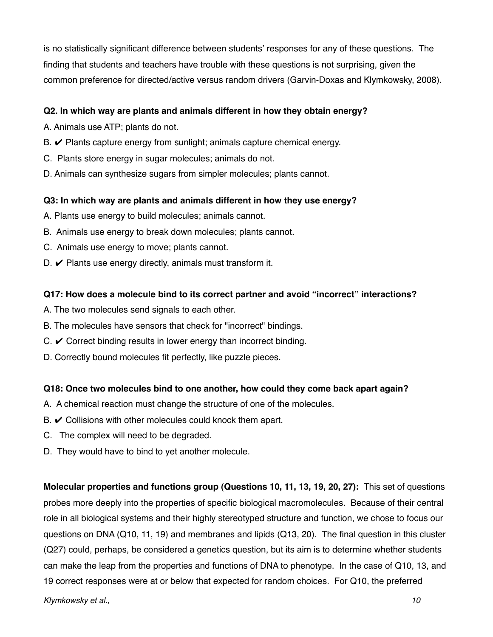is no statistically significant difference between students' responses for any of these questions. The finding that students and teachers have trouble with these questions is not surprising, given the common preference for directed/active versus random drivers (Garvin-Doxas and Klymkowsky, 2008).

# **Q2. In which way are plants and animals different in how they obtain energy?**

- A. Animals use ATP; plants do not.
- $B.$   $\vee$  Plants capture energy from sunlight; animals capture chemical energy.
- C. Plants store energy in sugar molecules; animals do not.
- D. Animals can synthesize sugars from simpler molecules; plants cannot.

# **Q3: In which way are plants and animals different in how they use energy?**

- A. Plants use energy to build molecules; animals cannot.
- B. Animals use energy to break down molecules; plants cannot.
- C. Animals use energy to move; plants cannot.
- $D.$   $\vee$  Plants use energy directly, animals must transform it.

# **Q17: How does a molecule bind to its correct partner and avoid "incorrect" interactions?**

- A. The two molecules send signals to each other.
- B. The molecules have sensors that check for "incorrect" bindings.
- C.  $\checkmark$  Correct binding results in lower energy than incorrect binding.
- D. Correctly bound molecules fit perfectly, like puzzle pieces.

# **Q18: Once two molecules bind to one another, how could they come back apart again?**

- A. A chemical reaction must change the structure of one of the molecules.
- B. ✔ Collisions with other molecules could knock them apart.
- C. The complex will need to be degraded.
- D. They would have to bind to yet another molecule.

**Molecular properties and functions group (Questions 10, 11, 13, 19, 20, 27):** This set of questions probes more deeply into the properties of specific biological macromolecules. Because of their central role in all biological systems and their highly stereotyped structure and function, we chose to focus our questions on DNA (Q10, 11, 19) and membranes and lipids (Q13, 20). The final question in this cluster (Q27) could, perhaps, be considered a genetics question, but its aim is to determine whether students can make the leap from the properties and functions of DNA to phenotype. In the case of Q10, 13, and 19 correct responses were at or below that expected for random choices. For Q10, the preferred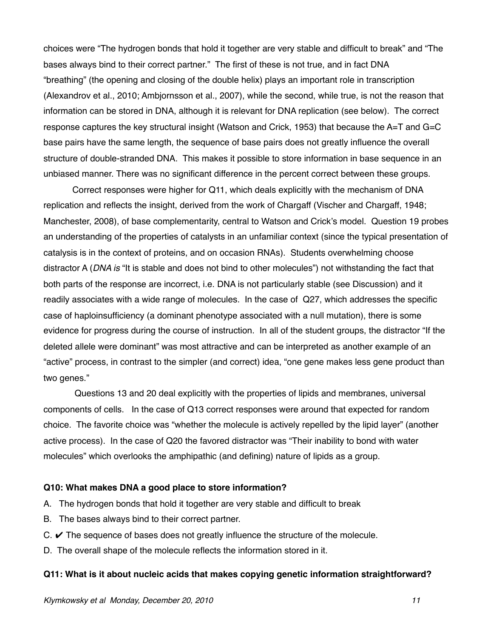choices were "The hydrogen bonds that hold it together are very stable and difficult to break" and "The bases always bind to their correct partner." The first of these is not true, and in fact DNA "breathing" (the opening and closing of the double helix) plays an important role in transcription (Alexandrov et al., 2010; Ambjornsson et al., 2007), while the second, while true, is not the reason that information can be stored in DNA, although it is relevant for DNA replication (see below). The correct response captures the key structural insight (Watson and Crick, 1953) that because the A=T and G=C base pairs have the same length, the sequence of base pairs does not greatly influence the overall structure of double-stranded DNA. This makes it possible to store information in base sequence in an unbiased manner. There was no significant difference in the percent correct between these groups.

Correct responses were higher for Q11, which deals explicitly with the mechanism of DNA replication and reflects the insight, derived from the work of Chargaff (Vischer and Chargaff, 1948; Manchester, 2008), of base complementarity, central to Watson and Crick's model. Question 19 probes an understanding of the properties of catalysts in an unfamiliar context (since the typical presentation of catalysis is in the context of proteins, and on occasion RNAs). Students overwhelming choose distractor A (*DNA is* "It is stable and does not bind to other molecules") not withstanding the fact that both parts of the response are incorrect, i.e. DNA is not particularly stable (see Discussion) and it readily associates with a wide range of molecules. In the case of Q27, which addresses the specific case of haploinsufficiency (a dominant phenotype associated with a null mutation), there is some evidence for progress during the course of instruction. In all of the student groups, the distractor "If the deleted allele were dominant" was most attractive and can be interpreted as another example of an "active" process, in contrast to the simpler (and correct) idea, "one gene makes less gene product than two genes."

Questions 13 and 20 deal explicitly with the properties of lipids and membranes, universal components of cells. In the case of Q13 correct responses were around that expected for random choice. The favorite choice was "whether the molecule is actively repelled by the lipid layer" (another active process). In the case of Q20 the favored distractor was "Their inability to bond with water molecules" which overlooks the amphipathic (and defining) nature of lipids as a group.

#### **Q10: What makes DNA a good place to store information?**

- A. The hydrogen bonds that hold it together are very stable and difficult to break
- B. The bases always bind to their correct partner.
- C.  $\vee$  The sequence of bases does not greatly influence the structure of the molecule.
- D. The overall shape of the molecule reflects the information stored in it.

#### **Q11: What is it about nucleic acids that makes copying genetic information straightforward?**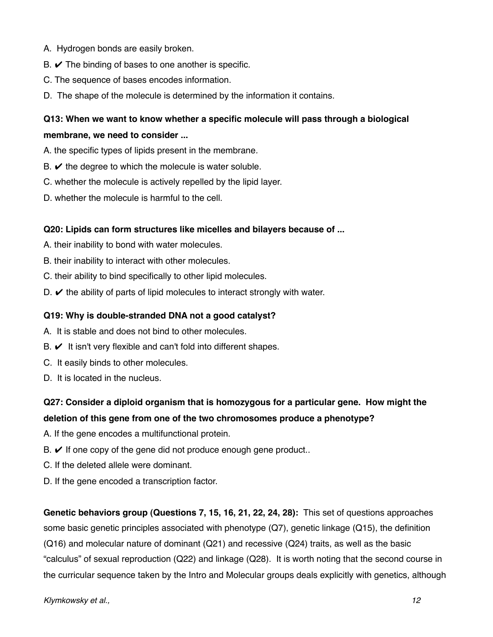- A. Hydrogen bonds are easily broken.
- B.  $\vee$  The binding of bases to one another is specific.
- C. The sequence of bases encodes information.
- D. The shape of the molecule is determined by the information it contains*.*

# **Q13: When we want to know whether a specific molecule will pass through a biological membrane, we need to consider ...**

- A. the specific types of lipids present in the membrane*.*
- B.  $\vee$  the degree to which the molecule is water soluble.
- C. whether the molecule is actively repelled by the lipid layer.
- D. whether the molecule is harmful to the cell.

#### **Q20: Lipids can form structures like micelles and bilayers because of ...**

- A. their inability to bond with water molecules.
- B. their inability to interact with other molecules.
- C. their ability to bind specifically to other lipid molecules.
- $D.$   $\vee$  the ability of parts of lipid molecules to interact strongly with water.

#### **Q19: Why is double-stranded DNA not a good catalyst?**

- A. It is stable and does not bind to other molecules.
- $B.$   $\vee$  It isn't very flexible and can't fold into different shapes.
- C. It easily binds to other molecules.
- D. It is located in the nucleus.

# **Q27: Consider a diploid organism that is homozygous for a particular gene. How might the deletion of this gene from one of the two chromosomes produce a phenotype?**

- A. If the gene encodes a multifunctional protein.
- $B.$   $\vee$  If one copy of the gene did not produce enough gene product..
- C. If the deleted allele were dominant.
- D. If the gene encoded a transcription factor.

**Genetic behaviors group (Questions 7, 15, 16, 21, 22, 24, 28):** This set of questions approaches some basic genetic principles associated with phenotype (Q7), genetic linkage (Q15), the definition (Q16) and molecular nature of dominant (Q21) and recessive (Q24) traits, as well as the basic "calculus" of sexual reproduction (Q22) and linkage (Q28). It is worth noting that the second course in the curricular sequence taken by the Intro and Molecular groups deals explicitly with genetics, although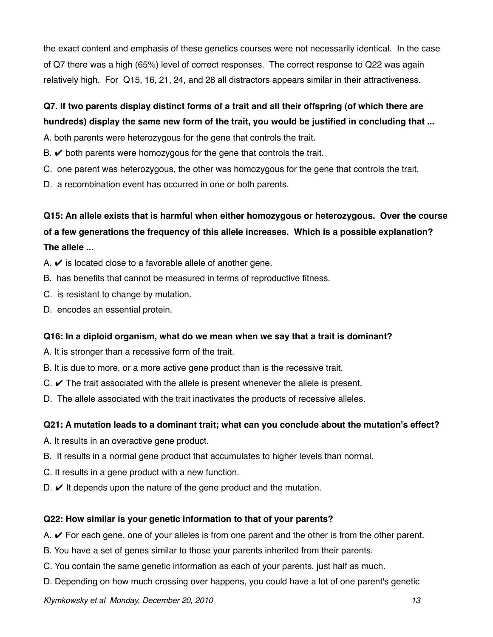the exact content and emphasis of these genetics courses were not necessarily identical. In the case of Q7 there was a high (65%) level of correct responses. The correct response to Q22 was again relatively high. For Q15, 16, 21, 24, and 28 all distractors appears similar in their attractiveness.

# **Q7. If two parents display distinct forms of a trait and all their offspring (of which there are hundreds) display the same new form of the trait, you would be justified in concluding that ...**

- A. both parents were heterozygous for the gene that controls the trait.
- B.  $\vee$  both parents were homozygous for the gene that controls the trait.
- C. one parent was heterozygous, the other was homozygous for the gene that controls the trait.
- D. a recombination event has occurred in one or both parents.

**Q15: An allele exists that is harmful when either homozygous or heterozygous. Over the course of a few generations the frequency of this allele increases. Which is a possible explanation? The allele ..***.*

- A.  $\checkmark$  is located close to a favorable allele of another gene.
- B. has benefits that cannot be measured in terms of reproductive fitness.
- C. is resistant to change by mutation.
- D. encodes an essential protein.

### **Q16: In a diploid organism, what do we mean when we say that a trait is dominant?**

- A. It is stronger than a recessive form of the trait.
- B. It is due to more, or a more active gene product than is the recessive trait.
- $C.$   $\vee$  The trait associated with the allele is present whenever the allele is present.
- D. The allele associated with the trait inactivates the products of recessive alleles.

### **Q21: A mutation leads to a dominant trait; what can you conclude about the mutation's effect?**

A. It results in an overactive gene product.

- B. It results in a normal gene product that accumulates to higher levels than normal.
- C. It results in a gene product with a new function.
- $D.$   $\vee$  It depends upon the nature of the gene product and the mutation.

#### **Q22: How similar is your genetic information to that of your parents?**

A.  $\vee$  For each gene, one of your alleles is from one parent and the other is from the other parent.

- B. You have a set of genes similar to those your parents inherited from their parents.
- C. You contain the same genetic information as each of your parents, just half as much.
- D. Depending on how much crossing over happens, you could have a lot of one parent's genetic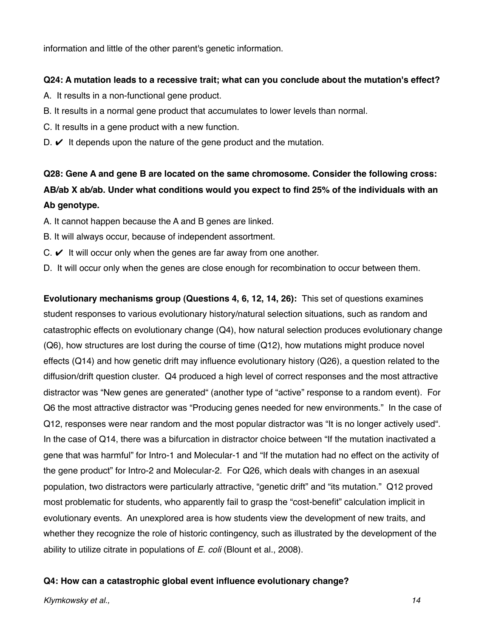information and little of the other parent's genetic information.

## **Q24: A mutation leads to a recessive trait; what can you conclude about the mutation's effect?**

- A. It results in a non-functional gene product.
- B. It results in a normal gene product that accumulates to lower levels than normal.
- C. It results in a gene product with a new function.
- $D.$   $\checkmark$  It depends upon the nature of the gene product and the mutation.

**Q28: Gene A and gene B are located on the same chromosome. Consider the following cross: AB/ab X ab/ab. Under what conditions would you expect to find 25% of the individuals with an Ab genotype.** 

- A. It cannot happen because the A and B genes are linked.
- B. It will always occur, because of independent assortment.
- $C.$   $\vee$  It will occur only when the genes are far away from one another.
- D. It will occur only when the genes are close enough for recombination to occur between them.

**Evolutionary mechanisms group (Questions 4, 6, 12, 14, 26):** This set of questions examines student responses to various evolutionary history/natural selection situations, such as random and catastrophic effects on evolutionary change (Q4), how natural selection produces evolutionary change (Q6), how structures are lost during the course of time (Q12), how mutations might produce novel effects (Q14) and how genetic drift may influence evolutionary history (Q26), a question related to the diffusion/drift question cluster. Q4 produced a high level of correct responses and the most attractive distractor was "New genes are generated" (another type of "active" response to a random event). For Q6 the most attractive distractor was "Producing genes needed for new environments." In the case of Q12, responses were near random and the most popular distractor was "It is no longer actively used". In the case of Q14, there was a bifurcation in distractor choice between "If the mutation inactivated a gene that was harmful" for Intro-1 and Molecular-1 and "If the mutation had no effect on the activity of the gene product" for Intro-2 and Molecular-2. For Q26, which deals with changes in an asexual population, two distractors were particularly attractive, "genetic drift" and "its mutation." Q12 proved most problematic for students, who apparently fail to grasp the "cost-benefit" calculation implicit in evolutionary events. An unexplored area is how students view the development of new traits, and whether they recognize the role of historic contingency, such as illustrated by the development of the ability to utilize citrate in populations of *E. coli* (Blount et al., 2008).

# **Q4: How can a catastrophic global event influence evolutionary change?**

*Klymkowsky et al., 14*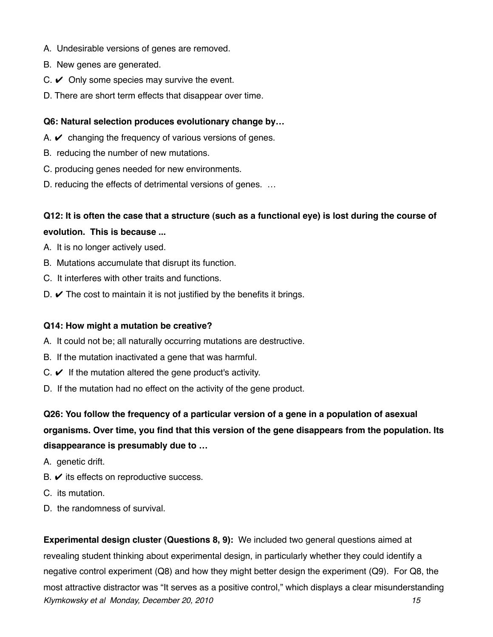- A. Undesirable versions of genes are removed.
- B. New genes are generated.
- $C.$   $\vee$  Only some species may survive the event.
- D. There are short term effects that disappear over time.

### **Q6: Natural selection produces evolutionary change by…**

- A.  $\vee$  changing the frequency of various versions of genes.
- B. reducing the number of new mutations.
- C. producing genes needed for new environments.
- D. reducing the effects of detrimental versions of genes. …

# **Q12: It is often the case that a structure (such as a functional eye) is lost during the course of evolution. This is because ...**

- A. It is no longer actively used.
- B. Mutations accumulate that disrupt its function.
- C. It interferes with other traits and functions.
- D.  $\checkmark$  The cost to maintain it is not justified by the benefits it brings.

### **Q14: How might a mutation be creative?**

- A. It could not be; all naturally occurring mutations are destructive.
- B. If the mutation inactivated a gene that was harmful.
- $C.$   $\vee$  If the mutation altered the gene product's activity.
- D. If the mutation had no effect on the activity of the gene product.

**Q26: You follow the frequency of a particular version of a gene in a population of asexual organisms. Over time, you find that this version of the gene disappears from the population. Its disappearance is presumably due to …** 

- A. genetic drift.
- $B.$   $\checkmark$  its effects on reproductive success.
- C. its mutation.
- D. the randomness of survival.

**Experimental design cluster (Questions 8, 9):** We included two general questions aimed at revealing student thinking about experimental design, in particularly whether they could identify a negative control experiment (Q8) and how they might better design the experiment (Q9). For Q8, the most attractive distractor was "It serves as a positive control," which displays a clear misunderstanding *Klymkowsky et al Monday, December 20, 2010 15*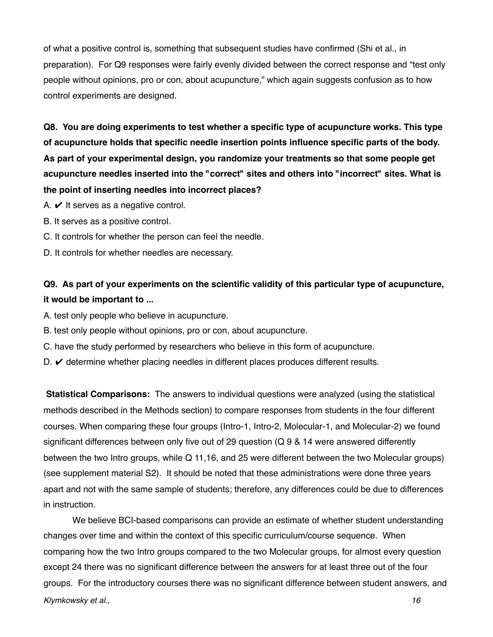of what a positive control is, something that subsequent studies have confirmed (Shi et al., in preparation). For Q9 responses were fairly evenly divided between the correct response and "test only people without opinions, pro or con, about acupuncture," which again suggests confusion as to how control experiments are designed.

**Q8. You are doing experiments to test whether a specific type of acupuncture works. This type of acupuncture holds that specific needle insertion points influence specific parts of the body. As part of your experimental design, you randomize your treatments so that some people get acupuncture needles inserted into the "correct" sites and others into "incorrect" sites. What is the point of inserting needles into incorrect places?** 

- A.  $\vee$  It serves as a negative control.
- B. It serves as a positive control.
- C. It controls for whether the person can feel the needle.
- D. It controls for whether needles are necessary.

# **Q9. As part of your experiments on the scientific validity of this particular type of acupuncture, it would be important to ...**

- A. test only people who believe in acupuncture.
- B. test only people without opinions, pro or con, about acupuncture.
- C. have the study performed by researchers who believe in this form of acupuncture.
- $D.$   $\vee$  determine whether placing needles in different places produces different results.

**Statistical Comparisons:** The answers to individual questions were analyzed (using the statistical methods described in the Methods section) to compare responses from students in the four different courses. When comparing these four groups (Intro-1, Intro-2, Molecular-1, and Molecular-2) we found significant differences between only five out of 29 question (Q 9 & 14 were answered differently between the two Intro groups, while Q 11,16, and 25 were different between the two Molecular groups) (see supplement material S2). It should be noted that these administrations were done three years apart and not with the same sample of students; therefore, any differences could be due to differences in instruction.

We believe BCI-based comparisons can provide an estimate of whether student understanding changes over time and within the context of this specific curriculum/course sequence. When comparing how the two Intro groups compared to the two Molecular groups, for almost every question except 24 there was no significant difference between the answers for at least three out of the four groups. For the introductory courses there was no significant difference between student answers, and *Klymkowsky et al., 16*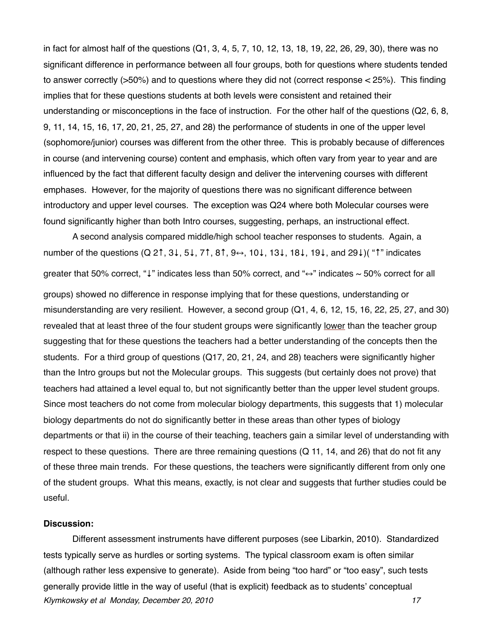in fact for almost half of the questions (Q1, 3, 4, 5, 7, 10, 12, 13, 18, 19, 22, 26, 29, 30), there was no significant difference in performance between all four groups, both for questions where students tended to answer correctly (>50%) and to questions where they did not (correct response < 25%). This finding implies that for these questions students at both levels were consistent and retained their understanding or misconceptions in the face of instruction. For the other half of the questions (Q2, 6, 8, 9, 11, 14, 15, 16, 17, 20, 21, 25, 27, and 28) the performance of students in one of the upper level (sophomore/junior) courses was different from the other three. This is probably because of differences in course (and intervening course) content and emphasis, which often vary from year to year and are influenced by the fact that different faculty design and deliver the intervening courses with different emphases. However, for the majority of questions there was no significant difference between introductory and upper level courses. The exception was Q24 where both Molecular courses were found significantly higher than both Intro courses, suggesting, perhaps, an instructional effect.

A second analysis compared middle/high school teacher responses to students. Again, a number of the questions  $(Q 2\uparrow, 3\downarrow, 5\downarrow, 7\uparrow, 8\uparrow, 9 \leftrightarrow 10\downarrow, 13\downarrow, 18\downarrow, 19\downarrow,$  and 29 $\downarrow$ )( " $\uparrow$ " indicates greater that 50% correct, " $\downarrow$ " indicates less than 50% correct, and " $\leftrightarrow$ " indicates  $\sim$  50% correct for all groups) showed no difference in response implying that for these questions, understanding or misunderstanding are very resilient. However, a second group (Q1, 4, 6, 12, 15, 16, 22, 25, 27, and 30) revealed that at least three of the four student groups were significantly lower than the teacher group suggesting that for these questions the teachers had a better understanding of the concepts then the students. For a third group of questions (Q17, 20, 21, 24, and 28) teachers were significantly higher than the Intro groups but not the Molecular groups. This suggests (but certainly does not prove) that teachers had attained a level equal to, but not significantly better than the upper level student groups. Since most teachers do not come from molecular biology departments, this suggests that 1) molecular biology departments do not do significantly better in these areas than other types of biology departments or that ii) in the course of their teaching, teachers gain a similar level of understanding with respect to these questions. There are three remaining questions (Q 11, 14, and 26) that do not fit any of these three main trends. For these questions, the teachers were significantly different from only one of the student groups. What this means, exactly, is not clear and suggests that further studies could be useful.

#### **Discussion:**

Different assessment instruments have different purposes (see Libarkin, 2010). Standardized tests typically serve as hurdles or sorting systems. The typical classroom exam is often similar (although rather less expensive to generate). Aside from being "too hard" or "too easy", such tests generally provide little in the way of useful (that is explicit) feedback as to students' conceptual *Klymkowsky et al Monday, December 20, 2010 17*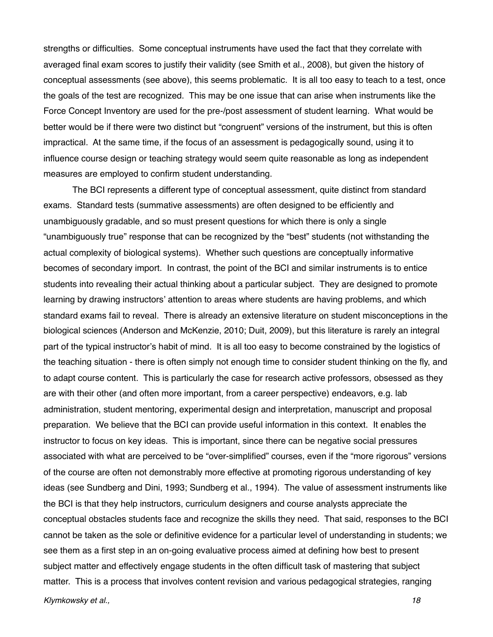strengths or difficulties. Some conceptual instruments have used the fact that they correlate with averaged final exam scores to justify their validity (see Smith et al., 2008), but given the history of conceptual assessments (see above), this seems problematic. It is all too easy to teach to a test, once the goals of the test are recognized. This may be one issue that can arise when instruments like the Force Concept Inventory are used for the pre-/post assessment of student learning. What would be better would be if there were two distinct but "congruent" versions of the instrument, but this is often impractical. At the same time, if the focus of an assessment is pedagogically sound, using it to influence course design or teaching strategy would seem quite reasonable as long as independent measures are employed to confirm student understanding.

The BCI represents a different type of conceptual assessment, quite distinct from standard exams. Standard tests (summative assessments) are often designed to be efficiently and unambiguously gradable, and so must present questions for which there is only a single "unambiguously true" response that can be recognized by the "best" students (not withstanding the actual complexity of biological systems). Whether such questions are conceptually informative becomes of secondary import. In contrast, the point of the BCI and similar instruments is to entice students into revealing their actual thinking about a particular subject. They are designed to promote learning by drawing instructors' attention to areas where students are having problems, and which standard exams fail to reveal. There is already an extensive literature on student misconceptions in the biological sciences (Anderson and McKenzie, 2010; Duit, 2009), but this literature is rarely an integral part of the typical instructor's habit of mind. It is all too easy to become constrained by the logistics of the teaching situation - there is often simply not enough time to consider student thinking on the fly, and to adapt course content. This is particularly the case for research active professors, obsessed as they are with their other (and often more important, from a career perspective) endeavors, e.g. lab administration, student mentoring, experimental design and interpretation, manuscript and proposal preparation. We believe that the BCI can provide useful information in this context. It enables the instructor to focus on key ideas. This is important, since there can be negative social pressures associated with what are perceived to be "over-simplified" courses, even if the "more rigorous" versions of the course are often not demonstrably more effective at promoting rigorous understanding of key ideas (see Sundberg and Dini, 1993; Sundberg et al., 1994). The value of assessment instruments like the BCI is that they help instructors, curriculum designers and course analysts appreciate the conceptual obstacles students face and recognize the skills they need. That said, responses to the BCI cannot be taken as the sole or definitive evidence for a particular level of understanding in students; we see them as a first step in an on-going evaluative process aimed at defining how best to present subject matter and effectively engage students in the often difficult task of mastering that subject matter. This is a process that involves content revision and various pedagogical strategies, ranging

*Klymkowsky et al., 18*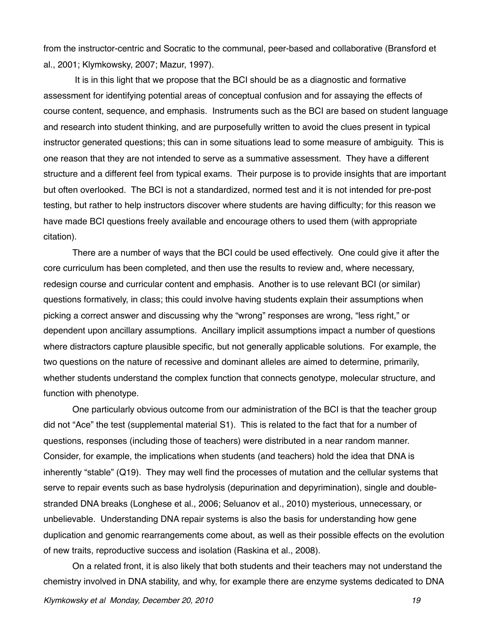from the instructor-centric and Socratic to the communal, peer-based and collaborative (Bransford et al., 2001; Klymkowsky, 2007; Mazur, 1997).

 It is in this light that we propose that the BCI should be as a diagnostic and formative assessment for identifying potential areas of conceptual confusion and for assaying the effects of course content, sequence, and emphasis. Instruments such as the BCI are based on student language and research into student thinking, and are purposefully written to avoid the clues present in typical instructor generated questions; this can in some situations lead to some measure of ambiguity. This is one reason that they are not intended to serve as a summative assessment. They have a different structure and a different feel from typical exams. Their purpose is to provide insights that are important but often overlooked. The BCI is not a standardized, normed test and it is not intended for pre-post testing, but rather to help instructors discover where students are having difficulty; for this reason we have made BCI questions freely available and encourage others to used them (with appropriate citation).

There are a number of ways that the BCI could be used effectively. One could give it after the core curriculum has been completed, and then use the results to review and, where necessary, redesign course and curricular content and emphasis. Another is to use relevant BCI (or similar) questions formatively, in class; this could involve having students explain their assumptions when picking a correct answer and discussing why the "wrong" responses are wrong, "less right," or dependent upon ancillary assumptions. Ancillary implicit assumptions impact a number of questions where distractors capture plausible specific, but not generally applicable solutions. For example, the two questions on the nature of recessive and dominant alleles are aimed to determine, primarily, whether students understand the complex function that connects genotype, molecular structure, and function with phenotype.

One particularly obvious outcome from our administration of the BCI is that the teacher group did not "Ace" the test (supplemental material S1). This is related to the fact that for a number of questions, responses (including those of teachers) were distributed in a near random manner. Consider, for example, the implications when students (and teachers) hold the idea that DNA is inherently "stable" (Q19). They may well find the processes of mutation and the cellular systems that serve to repair events such as base hydrolysis (depurination and depyrimination), single and doublestranded DNA breaks (Longhese et al., 2006; Seluanov et al., 2010) mysterious, unnecessary, or unbelievable. Understanding DNA repair systems is also the basis for understanding how gene duplication and genomic rearrangements come about, as well as their possible effects on the evolution of new traits, reproductive success and isolation (Raskina et al., 2008).

On a related front, it is also likely that both students and their teachers may not understand the chemistry involved in DNA stability, and why, for example there are enzyme systems dedicated to DNA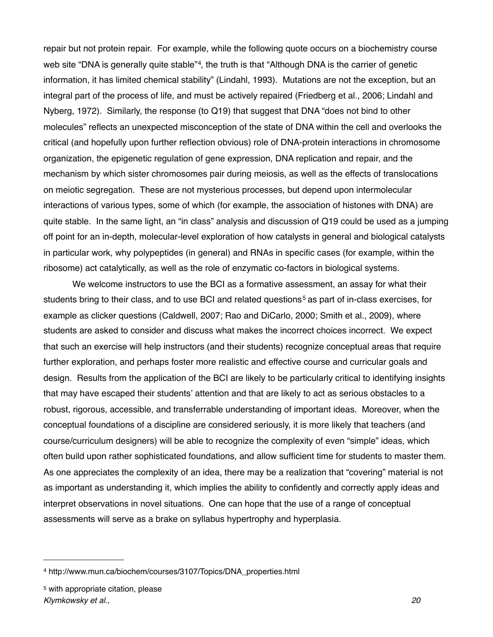repair but not protein repair. For example, while the following quote occurs on a biochemistry course web site "DNA is generally quite stable"<sup>[4](#page-19-0)</sup>, the truth is that "Although DNA is the carrier of genetic information, it has limited chemical stability" (Lindahl, 1993). Mutations are not the exception, but an integral part of the process of life, and must be actively repaired (Friedberg et al., 2006; Lindahl and Nyberg, 1972). Similarly, the response (to Q19) that suggest that DNA "does not bind to other molecules" reflects an unexpected misconception of the state of DNA within the cell and overlooks the critical (and hopefully upon further reflection obvious) role of DNA-protein interactions in chromosome organization, the epigenetic regulation of gene expression, DNA replication and repair, and the mechanism by which sister chromosomes pair during meiosis, as well as the effects of translocations on meiotic segregation. These are not mysterious processes, but depend upon intermolecular interactions of various types, some of which (for example, the association of histones with DNA) are quite stable. In the same light, an "in class" analysis and discussion of Q19 could be used as a jumping off point for an in-depth, molecular-level exploration of how catalysts in general and biological catalysts in particular work, why polypeptides (in general) and RNAs in specific cases (for example, within the ribosome) act catalytically, as well as the role of enzymatic co-factors in biological systems.

We welcome instructors to use the BCI as a formative assessment, an assay for what their students bring to their class, and to use BCI and related questions<sup>[5](#page-19-1)</sup> as part of in-class exercises, for example as clicker questions (Caldwell, 2007; Rao and DiCarlo, 2000; Smith et al., 2009), where students are asked to consider and discuss what makes the incorrect choices incorrect. We expect that such an exercise will help instructors (and their students) recognize conceptual areas that require further exploration, and perhaps foster more realistic and effective course and curricular goals and design. Results from the application of the BCI are likely to be particularly critical to identifying insights that may have escaped their students' attention and that are likely to act as serious obstacles to a robust, rigorous, accessible, and transferrable understanding of important ideas. Moreover, when the conceptual foundations of a discipline are considered seriously, it is more likely that teachers (and course/curriculum designers) will be able to recognize the complexity of even "simple" ideas, which often build upon rather sophisticated foundations, and allow sufficient time for students to master them. As one appreciates the complexity of an idea, there may be a realization that "covering" material is not as important as understanding it, which implies the ability to confidently and correctly apply ideas and interpret observations in novel situations. One can hope that the use of a range of conceptual assessments will serve as a brake on syllabus hypertrophy and hyperplasia.

<span id="page-19-0"></span><sup>4</sup> http://www.mun.ca/biochem/courses/3107/Topics/DNA\_properties.html

<span id="page-19-1"></span>*Klymkowsky et al., 20* 5 with appropriate citation, please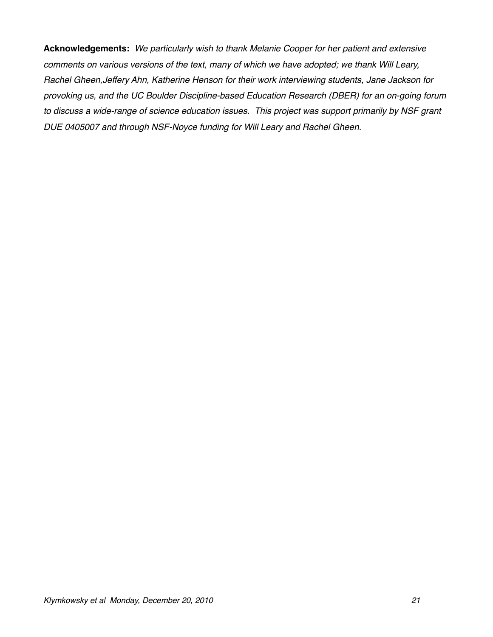**Acknowledgements:** *We particularly wish to thank Melanie Cooper for her patient and extensive comments on various versions of the text, many of which we have adopted; we thank Will Leary, Rachel Gheen,Jeffery Ahn, Katherine Henson for their work interviewing students, Jane Jackson for provoking us, and the UC Boulder Discipline-based Education Research (DBER) for an on-going forum to discuss a wide-range of science education issues. This project was support primarily by NSF grant DUE 0405007 and through NSF-Noyce funding for Will Leary and Rachel Gheen.*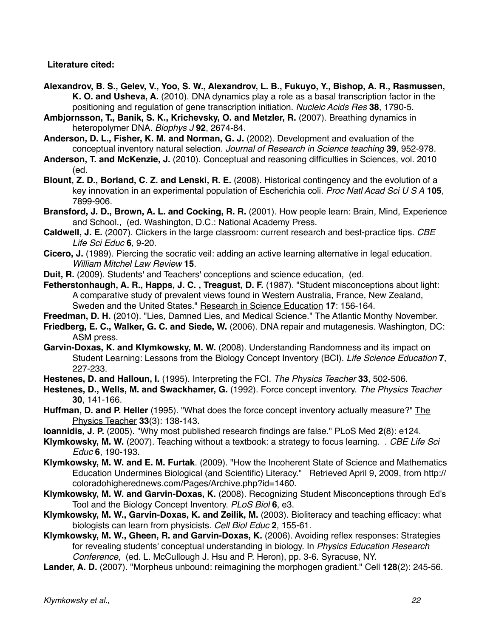**Literature cited:**

- **Alexandrov, B. S., Gelev, V., Yoo, S. W., Alexandrov, L. B., Fukuyo, Y., Bishop, A. R., Rasmussen, K. O. and Usheva, A.** (2010). DNA dynamics play a role as a basal transcription factor in the positioning and regulation of gene transcription initiation. *Nucleic Acids Res* **38**, 1790-5.
- **Ambjornsson, T., Banik, S. K., Krichevsky, O. and Metzler, R.** (2007). Breathing dynamics in heteropolymer DNA. *Biophys J* **92**, 2674-84.
- **Anderson, D. L., Fisher, K. M. and Norman, G. J.** (2002). Development and evaluation of the conceptual inventory natural selection. *Journal of Research in Science teaching* **39**, 952-978.
- **Anderson, T. and McKenzie, J.** (2010). Conceptual and reasoning difficulties in Sciences, vol. 2010 (ed.
- **Blount, Z. D., Borland, C. Z. and Lenski, R. E.** (2008). Historical contingency and the evolution of a key innovation in an experimental population of Escherichia coli. *Proc Natl Acad Sci U S A* **105**, 7899-906.
- **Bransford, J. D., Brown, A. L. and Cocking, R. R.** (2001). How people learn: Brain, Mind, Experience and School., (ed. Washington, D.C.: National Academy Press.
- **Caldwell, J. E.** (2007). Clickers in the large classroom: current research and best-practice tips. *CBE Life Sci Educ* **6**, 9-20.
- **Cicero, J.** (1989). Piercing the socratic veil: adding an active learning alternative in legal education. *William Mitchel Law Review* **15**.
- **Duit, R.** (2009). Students' and Teachers' conceptions and science education, (ed.

**Fetherstonhaugh, A. R., Happs, J. C. , Treagust, D. F.** (1987). "Student misconceptions about light: A comparative study of prevalent views found in Western Australia, France, New Zealand, Sweden and the United States." Research in Science Education **17**: 156-164.

- **Freedman, D. H.** (2010). "Lies, Damned Lies, and Medical Science." The Atlantic Monthy November.
- **Friedberg, E. C., Walker, G. C. and Siede, W.** (2006). DNA repair and mutagenesis. Washington, DC: ASM press.
- **Garvin-Doxas, K. and Klymkowsky, M. W.** (2008). Understanding Randomness and its impact on Student Learning: Lessons from the Biology Concept Inventory (BCI). *Life Science Education* **7**, 227-233.
- **Hestenes, D. and Halloun, I.** (1995). Interpreting the FCI. *The Physics Teacher* **33**, 502-506.
- **Hestenes, D., Wells, M. and Swackhamer, G.** (1992). Force concept inventory. *The Physics Teacher* **30**, 141-166.
- **Huffman, D. and P. Heller** (1995). "What does the force concept inventory actually measure?" The Physics Teacher **33**(3): 138-143.
- **Ioannidis, J. P.** (2005). "Why most published research findings are false." PLoS Med **2**(8): e124.
- **Klymkowsky, M. W.** (2007). Teaching without a textbook: a strategy to focus learning. . *CBE Life Sci Educ* **6**, 190-193.
- **Klymkowsky, M. W. and E. M. Furtak**. (2009). "How the Incoherent State of Science and Mathematics Education Undermines Biological (and Scientific) Literacy." Retrieved April 9, 2009, from http:// coloradohigherednews.com/Pages/Archive.php?id=1460.
- **Klymkowsky, M. W. and Garvin-Doxas, K.** (2008). Recognizing Student Misconceptions through Ed's Tool and the Biology Concept Inventory. *PLoS Biol* **6**, e3.
- **Klymkowsky, M. W., Garvin-Doxas, K. and Zeilik, M.** (2003). Bioliteracy and teaching efficacy: what biologists can learn from physicists. *Cell Biol Educ* **2**, 155-61.
- **Klymkowsky, M. W., Gheen, R. and Garvin-Doxas, K.** (2006). Avoiding reflex responses: Strategies for revealing students' conceptual understanding in biology. In *Physics Education Research Conference*, (ed. L. McCullough J. Hsu and P. Heron), pp. 3-6. Syracuse, NY.
- **Lander, A. D.** (2007). "Morpheus unbound: reimagining the morphogen gradient." Cell **128**(2): 245-56.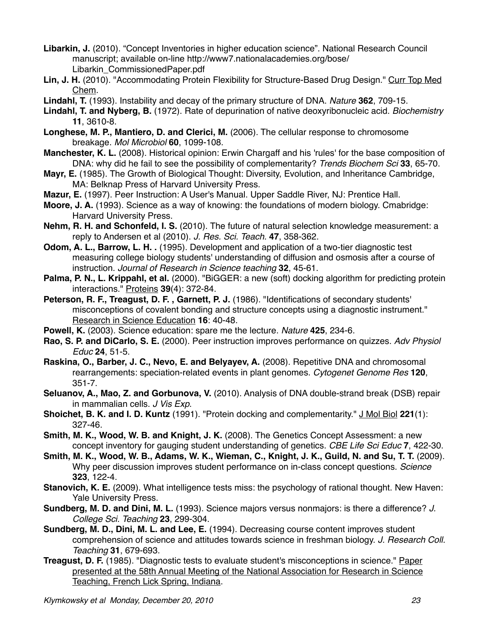- **Libarkin, J.** (2010). "Concept Inventories in higher education science". National Research Council manuscript; available on-line http://www7.nationalacademies.org/bose/ Libarkin\_CommissionedPaper.pdf
- **Lin, J. H.** (2010). "Accommodating Protein Flexibility for Structure-Based Drug Design." Curr Top Med Chem.
- **Lindahl, T.** (1993). Instability and decay of the primary structure of DNA. *Nature* **362**, 709-15.
- **Lindahl, T. and Nyberg, B.** (1972). Rate of depurination of native deoxyribonucleic acid. *Biochemistry* **11**, 3610-8.
- **Longhese, M. P., Mantiero, D. and Clerici, M.** (2006). The cellular response to chromosome breakage. *Mol Microbiol* **60**, 1099-108.
- **Manchester, K. L.** (2008). Historical opinion: Erwin Chargaff and his 'rules' for the base composition of DNA: why did he fail to see the possibility of complementarity? *Trends Biochem Sci* **33**, 65-70.
- **Mayr, E.** (1985). The Growth of Biological Thought: Diversity, Evolution, and Inheritance Cambridge, MA: Belknap Press of Harvard University Press.
- **Mazur, E.** (1997). Peer Instruction: A User's Manual. Upper Saddle River, NJ: Prentice Hall.
- **Moore, J. A.** (1993). Science as a way of knowing: the foundations of modern biology. Cmabridge: Harvard University Press.
- **Nehm, R. H. and Schonfeld, I. S.** (2010). The future of natural selection knowledge measurement: a reply to Andersen et al (2010). *J. Res. Sci. Teach.* **47**, 358-362.
- **Odom, A. L., Barrow, L. H. .** (1995). Development and application of a two-tier diagnostic test measuring college biology students' understanding of diffusion and osmosis after a course of instruction. *Journal of Research in Science teaching* **32**, 45-61.
- **Palma, P. N., L. Krippahl, et al.** (2000). "BiGGER: a new (soft) docking algorithm for predicting protein interactions." Proteins **39**(4): 372-84.
- **Peterson, R. F., Treagust, D. F. , Garnett, P. J.** (1986). "Identifications of secondary students' misconceptions of covalent bonding and structure concepts using a diagnostic instrument." Research in Science Education **16**: 40-48.
- **Powell, K.** (2003). Science education: spare me the lecture. *Nature* **425**, 234-6.
- **Rao, S. P. and DiCarlo, S. E.** (2000). Peer instruction improves performance on quizzes. *Adv Physiol Educ* **24**, 51-5.
- **Raskina, O., Barber, J. C., Nevo, E. and Belyayev, A.** (2008). Repetitive DNA and chromosomal rearrangements: speciation-related events in plant genomes. *Cytogenet Genome Res* **120**, 351-7.
- **Seluanov, A., Mao, Z. and Gorbunova, V.** (2010). Analysis of DNA double-strand break (DSB) repair in mammalian cells. *J Vis Exp*.
- **Shoichet, B. K. and I. D. Kuntz** (1991). "Protein docking and complementarity." J Mol Biol **221**(1): 327-46.
- **Smith, M. K., Wood, W. B. and Knight, J. K.** (2008). The Genetics Concept Assessment: a new concept inventory for gauging student understanding of genetics. *CBE Life Sci Educ* **7**, 422-30.
- **Smith, M. K., Wood, W. B., Adams, W. K., Wieman, C., Knight, J. K., Guild, N. and Su, T. T.** (2009). Why peer discussion improves student performance on in-class concept questions. *Science* **323**, 122-4.
- **Stanovich, K. E.** (2009). What intelligence tests miss: the psychology of rational thought. New Haven: Yale University Press.
- **Sundberg, M. D. and Dini, M. L.** (1993). Science majors versus nonmajors: is there a difference? *J. College Sci. Teaching* **23**, 299-304.
- **Sundberg, M. D., Dini, M. L. and Lee, E.** (1994). Decreasing course content improves student comprehension of science and attitudes towards science in freshman biology. *J. Research Coll. Teaching* **31**, 679-693.
- **Treagust, D. F.** (1985). "Diagnostic tests to evaluate student's misconceptions in science." Paper presented at the 58th Annual Meeting of the National Association for Research in Science Teaching, French Lick Spring, Indiana.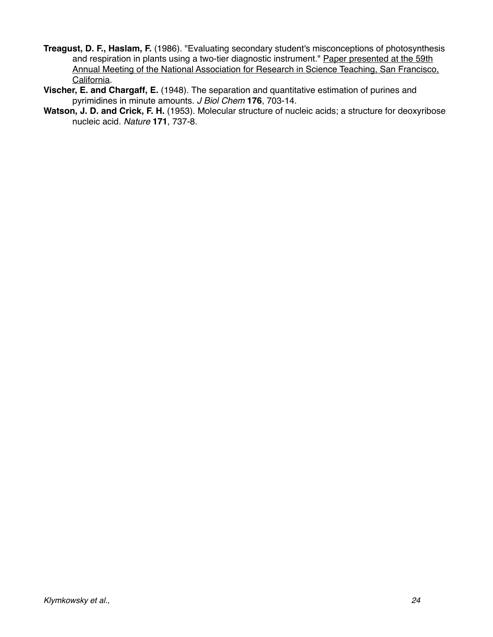- **Treagust, D. F., Haslam, F.** (1986). "Evaluating secondary student's misconceptions of photosynthesis and respiration in plants using a two-tier diagnostic instrument." Paper presented at the 59th Annual Meeting of the National Association for Research in Science Teaching, San Francisco, California.
- **Vischer, E. and Chargaff, E.** (1948). The separation and quantitative estimation of purines and pyrimidines in minute amounts. *J Biol Chem* **176**, 703-14.
- **Watson, J. D. and Crick, F. H.** (1953). Molecular structure of nucleic acids; a structure for deoxyribose nucleic acid. *Nature* **171**, 737-8.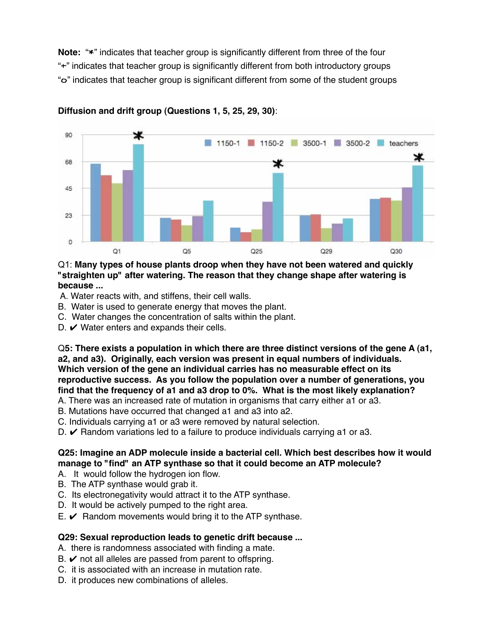**Note:** "\*" indicates that teacher group is significantly different from three of the four "+" indicates that teacher group is significantly different from both introductory groups "o" indicates that teacher group is significant different from some of the student groups



**Diffusion and drift group (Questions 1, 5, 25, 29, 30)**:

### Q1: **Many types of house plants droop when they have not been watered and quickly "straighten up" after watering. The reason that they change shape after watering is because ...**

- A. Water reacts with, and stiffens, their cell walls.
- B. Water is used to generate energy that moves the plant.
- C. Water changes the concentration of salts within the plant.
- $D.$   $\vee$  Water enters and expands their cells.

Q**5: There exists a population in which there are three distinct versions of the gene A (a1, a2, and a3). Originally, each version was present in equal numbers of individuals. Which version of the gene an individual carries has no measurable effect on its reproductive success. As you follow the population over a number of generations, you find that the frequency of a1 and a3 drop to 0%. What is the most likely explanation?** 

- A. There was an increased rate of mutation in organisms that carry either a1 or a3.
- B. Mutations have occurred that changed a1 and a3 into a2.
- C. Individuals carrying a1 or a3 were removed by natural selection.
- D.  $\vee$  Random variations led to a failure to produce individuals carrying a1 or a3.

## **Q25: Imagine an ADP molecule inside a bacterial cell. Which best describes how it would manage to "find" an ATP synthase so that it could become an ATP molecule?**

- A. It would follow the hydrogen ion flow.
- B. The ATP synthase would grab it.
- C. Its electronegativity would attract it to the ATP synthase.
- D. It would be actively pumped to the right area.
- $E.$   $\triangleright$  Random movements would bring it to the ATP synthase.

#### **Q29: Sexual reproduction leads to genetic drift because ...**

A. there is randomness associated with finding a mate.

- $B.$   $\triangleright$  not all alleles are passed from parent to offspring.
- C. it is associated with an increase in mutation rate.
- D. it produces new combinations of alleles.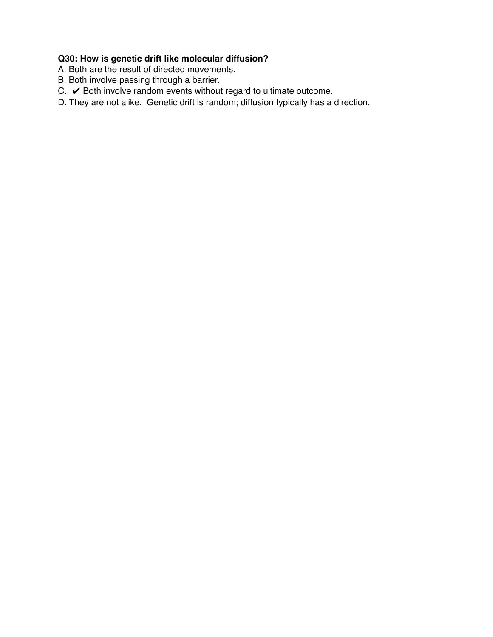# **Q30: How is genetic drift like molecular diffusion?**

- A. Both are the result of directed movements.
- B. Both involve passing through a barrier.
- C. ✔ Both involve random events without regard to ultimate outcome.
- D. They are not alike. Genetic drift is random; diffusion typically has a direction*.*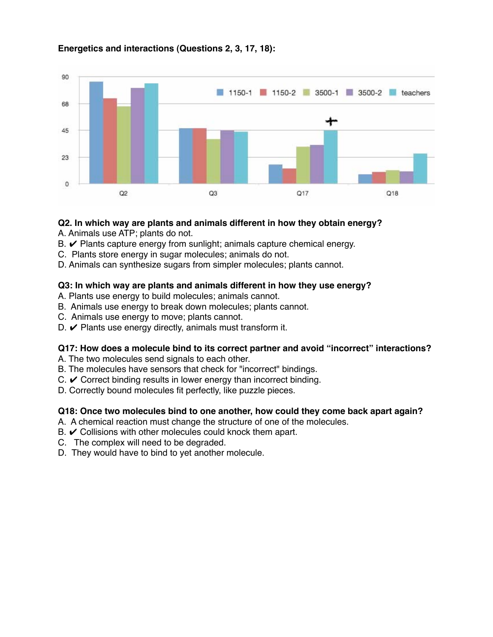### **Energetics and interactions (Questions 2, 3, 17, 18):**



## **Q2. In which way are plants and animals different in how they obtain energy?**

A. Animals use ATP; plants do not.

- $B.$   $\vee$  Plants capture energy from sunlight; animals capture chemical energy.
- C. Plants store energy in sugar molecules; animals do not.
- D. Animals can synthesize sugars from simpler molecules; plants cannot.

## **Q3: In which way are plants and animals different in how they use energy?**

- A. Plants use energy to build molecules; animals cannot.
- B. Animals use energy to break down molecules; plants cannot.
- C. Animals use energy to move; plants cannot.
- D.  $\vee$  Plants use energy directly, animals must transform it.

# **Q17: How does a molecule bind to its correct partner and avoid "incorrect" interactions?**

- A. The two molecules send signals to each other.
- B. The molecules have sensors that check for "incorrect" bindings.
- $C.$   $\vee$  Correct binding results in lower energy than incorrect binding.
- D. Correctly bound molecules fit perfectly, like puzzle pieces.

# **Q18: Once two molecules bind to one another, how could they come back apart again?**

- A. A chemical reaction must change the structure of one of the molecules.
- B. ✔ Collisions with other molecules could knock them apart.
- C. The complex will need to be degraded.
- D. They would have to bind to yet another molecule.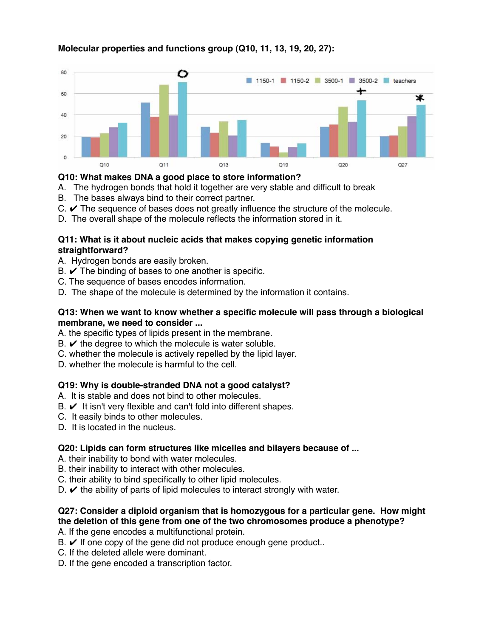# **Molecular properties and functions group (Q10, 11, 13, 19, 20, 27):**



## **Q10: What makes DNA a good place to store information?**

- A. The hydrogen bonds that hold it together are very stable and difficult to break
- B. The bases always bind to their correct partner.
- $C.$   $\vee$  The sequence of bases does not greatly influence the structure of the molecule.
- D. The overall shape of the molecule reflects the information stored in it.

## **Q11: What is it about nucleic acids that makes copying genetic information straightforward?**

- A. Hydrogen bonds are easily broken.
- $B.$   $\checkmark$  The binding of bases to one another is specific.
- C. The sequence of bases encodes information.
- D. The shape of the molecule is determined by the information it contains*.*

#### **Q13: When we want to know whether a specific molecule will pass through a biological membrane, we need to consider ...**

A. the specific types of lipids present in the membrane*.* 

- B.  $\vee$  the degree to which the molecule is water soluble.
- C. whether the molecule is actively repelled by the lipid layer.
- D. whether the molecule is harmful to the cell.

### **Q19: Why is double-stranded DNA not a good catalyst?**

- A. It is stable and does not bind to other molecules.
- $B.$   $\vee$  It isn't very flexible and can't fold into different shapes.
- C. It easily binds to other molecules.
- D. It is located in the nucleus.

### **Q20: Lipids can form structures like micelles and bilayers because of ...**

- A. their inability to bond with water molecules.
- B. their inability to interact with other molecules.
- C. their ability to bind specifically to other lipid molecules.
- $D.$   $\vee$  the ability of parts of lipid molecules to interact strongly with water.

# **Q27: Consider a diploid organism that is homozygous for a particular gene. How might the deletion of this gene from one of the two chromosomes produce a phenotype?**

A. If the gene encodes a multifunctional protein.

- $B.$   $\checkmark$  If one copy of the gene did not produce enough gene product..
- C. If the deleted allele were dominant.
- D. If the gene encoded a transcription factor.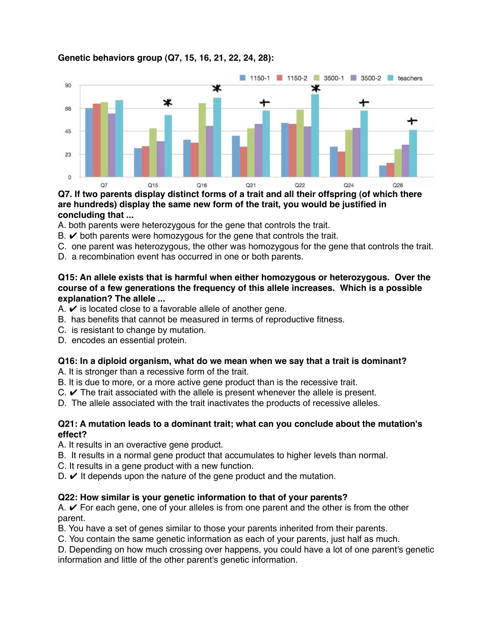# **Genetic behaviors group (Q7, 15, 16, 21, 22, 24, 28):**



**are hundreds) display the same new form of the trait, you would be justified in concluding that ...** 

A. both parents were heterozygous for the gene that controls the trait.

- B.  $\vee$  both parents were homozygous for the gene that controls the trait.
- C. one parent was heterozygous, the other was homozygous for the gene that controls the trait.
- D. a recombination event has occurred in one or both parents.

### **Q15: An allele exists that is harmful when either homozygous or heterozygous. Over the course of a few generations the frequency of this allele increases. Which is a possible explanation? The allele ..***.*

- A.  $\checkmark$  is located close to a favorable allele of another gene.
- B. has benefits that cannot be measured in terms of reproductive fitness.
- C. is resistant to change by mutation.
- D. encodes an essential protein.

### **Q16: In a diploid organism, what do we mean when we say that a trait is dominant?**

A. It is stronger than a recessive form of the trait.

- B. It is due to more, or a more active gene product than is the recessive trait.
- $C.$   $\vee$  The trait associated with the allele is present whenever the allele is present.
- D. The allele associated with the trait inactivates the products of recessive alleles.

#### **Q21: A mutation leads to a dominant trait; what can you conclude about the mutation's effect?**

A. It results in an overactive gene product.

- B. It results in a normal gene product that accumulates to higher levels than normal.
- C. It results in a gene product with a new function.
- $D.$   $\vee$  It depends upon the nature of the gene product and the mutation.

### **Q22: How similar is your genetic information to that of your parents?**

A.  $\vee$  For each gene, one of your alleles is from one parent and the other is from the other parent.

- B. You have a set of genes similar to those your parents inherited from their parents.
- C. You contain the same genetic information as each of your parents, just half as much.

D. Depending on how much crossing over happens, you could have a lot of one parent's genetic information and little of the other parent's genetic information.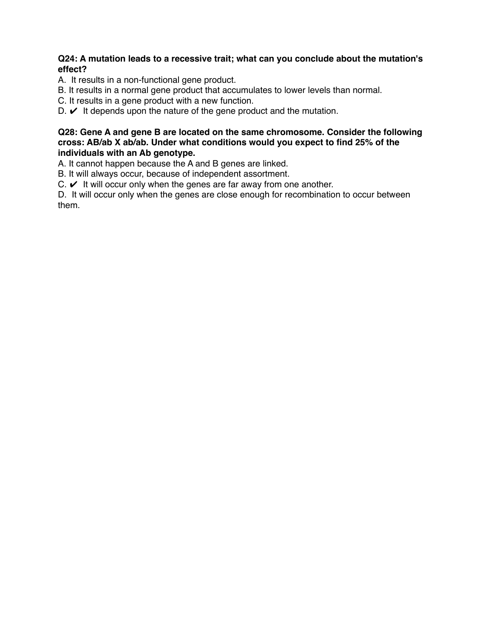#### **Q24: A mutation leads to a recessive trait; what can you conclude about the mutation's effect?**

A. It results in a non-functional gene product.

B. It results in a normal gene product that accumulates to lower levels than normal.

C. It results in a gene product with a new function.

 $D.$   $\vee$  It depends upon the nature of the gene product and the mutation.

#### **Q28: Gene A and gene B are located on the same chromosome. Consider the following cross: AB/ab X ab/ab. Under what conditions would you expect to find 25% of the individuals with an Ab genotype.**

A. It cannot happen because the A and B genes are linked.

B. It will always occur, because of independent assortment.

 $C.$   $\vee$  It will occur only when the genes are far away from one another.

D. It will occur only when the genes are close enough for recombination to occur between them.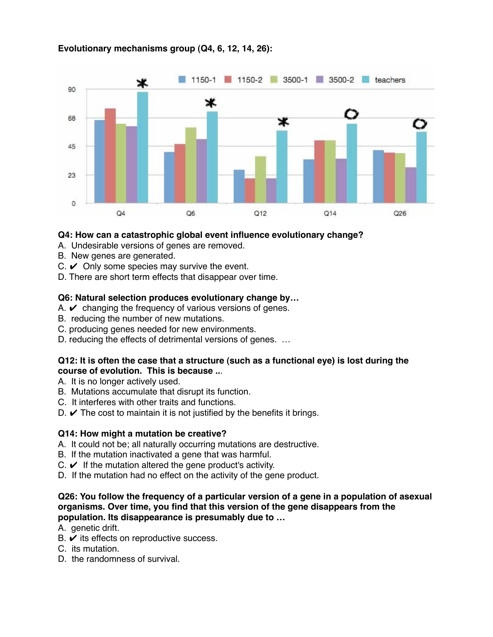### **Evolutionary mechanisms group (Q4, 6, 12, 14, 26):**



### **Q4: How can a catastrophic global event influence evolutionary change?**

- A. Undesirable versions of genes are removed.
- B. New genes are generated.
- $C.$   $\vee$  Only some species may survive the event.
- D. There are short term effects that disappear over time.

### **Q6: Natural selection produces evolutionary change by…**

- A.  $\vee$  changing the frequency of various versions of genes.
- B. reducing the number of new mutations.
- C. producing genes needed for new environments.
- D. reducing the effects of detrimental versions of genes. …

#### **Q12: It is often the case that a structure (such as a functional eye) is lost during the course of evolution. This is because ..**.

- A. It is no longer actively used.
- B. Mutations accumulate that disrupt its function.
- C. It interferes with other traits and functions.
- $D.$   $\checkmark$  The cost to maintain it is not justified by the benefits it brings.

### **Q14: How might a mutation be creative?**

- A. It could not be; all naturally occurring mutations are destructive.
- B. If the mutation inactivated a gene that was harmful.
- $C.$   $\vee$  If the mutation altered the gene product's activity.
- D. If the mutation had no effect on the activity of the gene product.

#### **Q26: You follow the frequency of a particular version of a gene in a population of asexual organisms. Over time, you find that this version of the gene disappears from the population. Its disappearance is presumably due to …**

#### A. genetic drift.

- $B.$   $\checkmark$  its effects on reproductive success.
- C. its mutation.
- D. the randomness of survival.